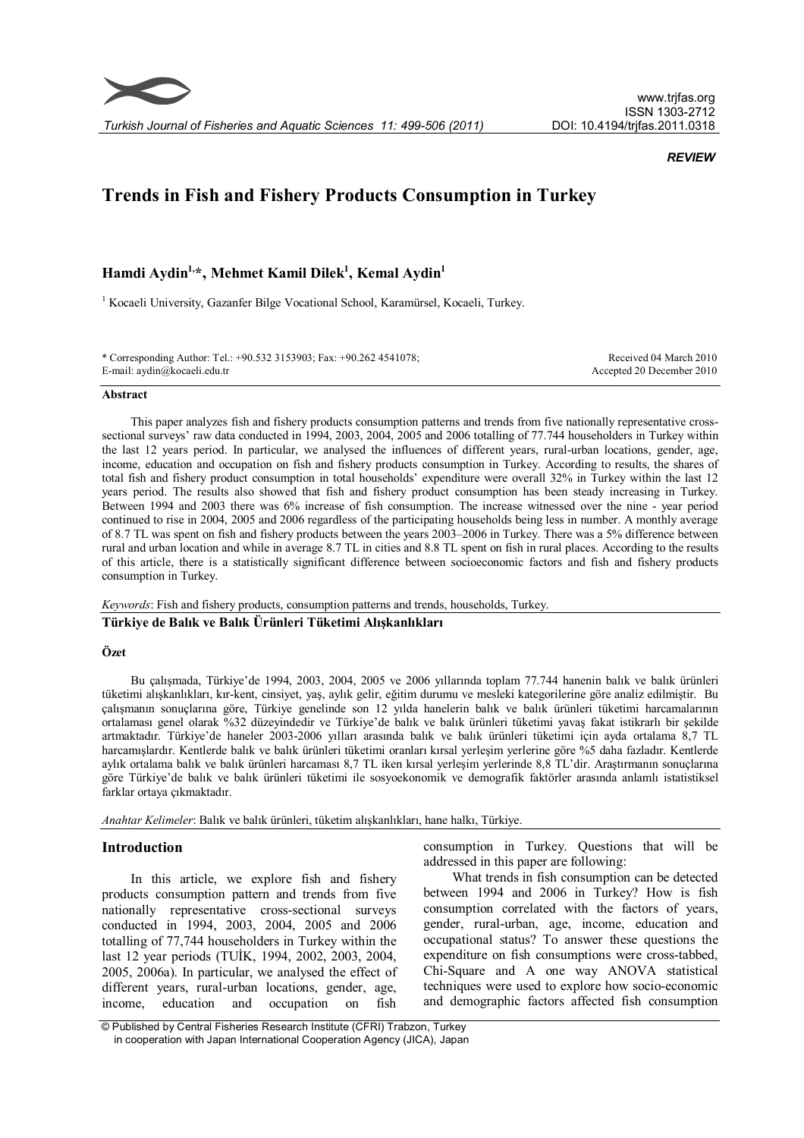

## *REVIEW*

# **Trends in Fish and Fishery Products Consumption in Turkey**

**Hamdi Aydin1, \*, Mehmet Kamil Dilek<sup>1</sup> , Kemal Aydin<sup>1</sup>**

<sup>1</sup> Kocaeli University, Gazanfer Bilge Vocational School, Karamürsel, Kocaeli, Turkey.

\* Corresponding Author: Tel.: +90.532 3153903; Fax: +90.262 4541078; E-mail: aydin@kocaeli.edu.tr

Received 04 March 2010 Accepted 20 December 2010

#### **Abstract**

This paper analyzes fish and fishery products consumption patterns and trends from five nationally representative crosssectional surveys' raw data conducted in 1994, 2003, 2004, 2005 and 2006 totalling of 77.744 householders in Turkey within the last 12 years period. In particular, we analysed the influences of different years, rural-urban locations, gender, age, income, education and occupation on fish and fishery products consumption in Turkey. According to results, the shares of total fish and fishery product consumption in total households' expenditure were overall 32% in Turkey within the last 12 years period. The results also showed that fish and fishery product consumption has been steady increasing in Turkey. Between 1994 and 2003 there was 6% increase of fish consumption. The increase witnessed over the nine - year period continued to rise in 2004, 2005 and 2006 regardless of the participating households being less in number. A monthly average of 8.7 TL was spent on fish and fishery products between the years 2003–2006 in Turkey. There was a 5% difference between rural and urban location and while in average 8.7 TL in cities and 8.8 TL spent on fish in rural places. According to the results of this article, there is a statistically significant difference between socioeconomic factors and fish and fishery products consumption in Turkey.

#### *Keywords*: Fish and fishery products, consumption patterns and trends, households, Turkey.

# **Türkiye de Balık ve Balık Ürünleri Tüketimi Alışkanlıkları**

#### **Özet**

Bu çalışmada, Türkiye'de 1994, 2003, 2004, 2005 ve 2006 yıllarında toplam 77.744 hanenin balık ve balık ürünleri tüketimi alışkanlıkları, kır-kent, cinsiyet, yaş, aylık gelir, eğitim durumu ve mesleki kategorilerine göre analiz edilmiştir. Bu çalışmanın sonuçlarına göre, Türkiye genelinde son 12 yılda hanelerin balık ve balık ürünleri tüketimi harcamalarının ortalaması genel olarak %32 düzeyindedir ve Türkiye'de balık ve balık ürünleri tüketimi yavaş fakat istikrarlı bir şekilde artmaktadır. Türkiye'de haneler 2003-2006 yılları arasında balık ve balık ürünleri tüketimi için ayda ortalama 8,7 TL harcamışlardır. Kentlerde balık ve balık ürünleri tüketimi oranları kırsal yerleşim yerlerine göre %5 daha fazladır. Kentlerde aylık ortalama balık ve balık ürünleri harcaması 8,7 TL iken kırsal yerleşim yerlerinde 8,8 TL'dir. Araştırmanın sonuçlarına göre Türkiye'de balık ve balık ürünleri tüketimi ile sosyoekonomik ve demografik faktörler arasında anlamlı istatistiksel farklar ortaya çıkmaktadır.

*Anahtar Kelimeler*: Balık ve balık ürünleri, tüketim alışkanlıkları, hane halkı, Türkiye.

## **Introduction**

In this article, we explore fish and fishery products consumption pattern and trends from five nationally representative cross-sectional surveys conducted in 1994, 2003, 2004, 2005 and 2006 totalling of 77,744 householders in Turkey within the last 12 year periods (TUİK, 1994, 2002, 2003, 2004, 2005, 2006a). In particular, we analysed the effect of different years, rural-urban locations, gender, age, income, education and occupation on fish

consumption in Turkey. Questions that will be addressed in this paper are following:

What trends in fish consumption can be detected between 1994 and 2006 in Turkey? How is fish consumption correlated with the factors of years, gender, rural-urban, age, income, education and occupational status? To answer these questions the expenditure on fish consumptions were cross-tabbed, Chi-Square and A one way ANOVA statistical techniques were used to explore how socio-economic and demographic factors affected fish consumption

<sup>©</sup> Published by Central Fisheries Research Institute (CFRI) Trabzon, Turkey in cooperation with Japan International Cooperation Agency (JICA), Japan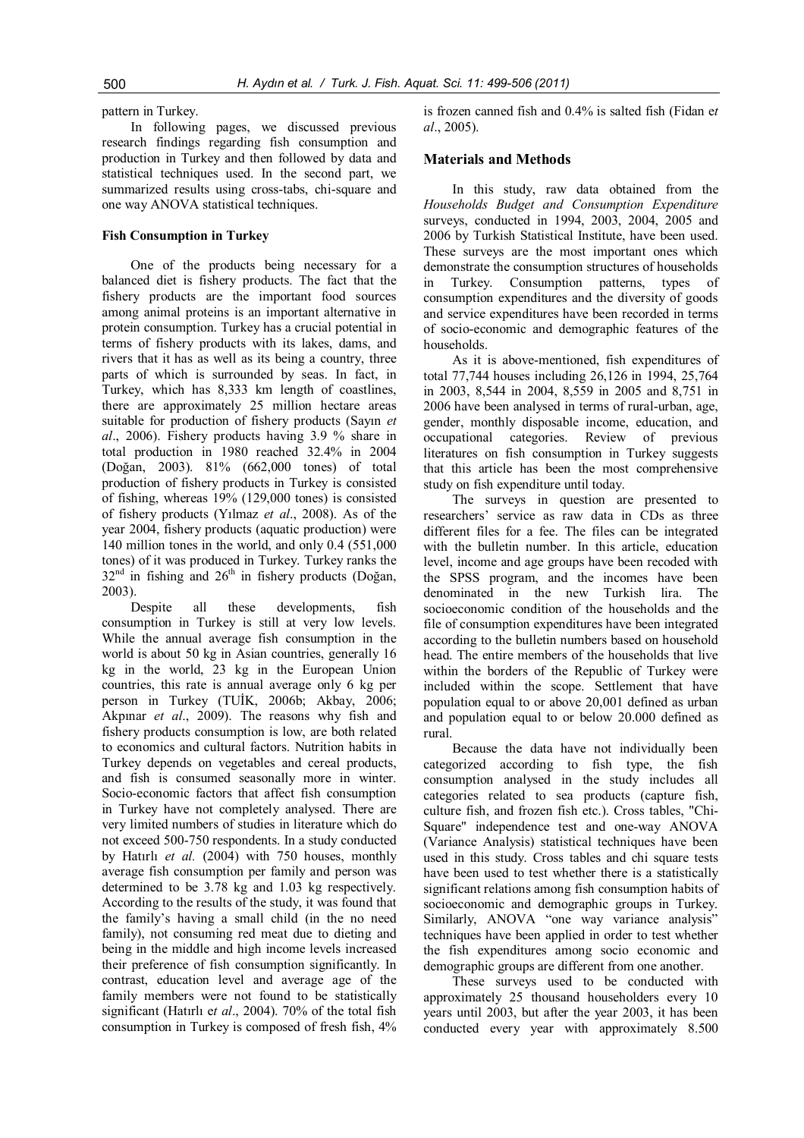pattern in Turkey.

In following pages, we discussed previous research findings regarding fish consumption and production in Turkey and then followed by data and statistical techniques used. In the second part, we summarized results using cross-tabs, chi-square and one way ANOVA statistical techniques.

## **Fish Consumption in Turkey**

One of the products being necessary for a balanced diet is fishery products. The fact that the fishery products are the important food sources among animal proteins is an important alternative in protein consumption. Turkey has a crucial potential in terms of fishery products with its lakes, dams, and rivers that it has as well as its being a country, three parts of which is surrounded by seas. In fact, in Turkey, which has 8,333 km length of coastlines, there are approximately 25 million hectare areas suitable for production of fishery products (Sayın *et al*., 2006). Fishery products having 3.9 % share in total production in 1980 reached 32.4% in 2004 (Doğan, 2003). 81% (662,000 tones) of total production of fishery products in Turkey is consisted of fishing, whereas 19% (129,000 tones) is consisted of fishery products (Yılmaz *et al*., 2008). As of the year 2004, fishery products (aquatic production) were 140 million tones in the world, and only 0.4 (551,000 tones) of it was produced in Turkey. Turkey ranks the  $32<sup>nd</sup>$  in fishing and  $26<sup>th</sup>$  in fishery products (Doğan, 2003).

Despite all these developments, fish consumption in Turkey is still at very low levels. While the annual average fish consumption in the world is about 50 kg in Asian countries, generally 16 kg in the world, 23 kg in the European Union countries, this rate is annual average only 6 kg per person in Turkey (TUİK, 2006b; Akbay, 2006; Akpınar *et al*., 2009). The reasons why fish and fishery products consumption is low, are both related to economics and cultural factors. Nutrition habits in Turkey depends on vegetables and cereal products, and fish is consumed seasonally more in winter. Socio-economic factors that affect fish consumption in Turkey have not completely analysed. There are very limited numbers of studies in literature which do not exceed 500-750 respondents. In a study conducted by Hatırlı *et al.* (2004) with 750 houses, monthly average fish consumption per family and person was determined to be 3.78 kg and 1.03 kg respectively. According to the results of the study, it was found that the family's having a small child (in the no need family), not consuming red meat due to dieting and being in the middle and high income levels increased their preference of fish consumption significantly. In contrast, education level and average age of the family members were not found to be statistically significant (Hatırlı e*t al*., 2004). 70% of the total fish consumption in Turkey is composed of fresh fish, 4%

is frozen canned fish and 0.4% is salted fish (Fidan e*t al*., 2005).

# **Materials and Methods**

In this study, raw data obtained from the *Households Budget and Consumption Expenditure* surveys, conducted in 1994, 2003, 2004, 2005 and 2006 by Turkish Statistical Institute, have been used. These surveys are the most important ones which demonstrate the consumption structures of households in Turkey. Consumption patterns, types of consumption expenditures and the diversity of goods and service expenditures have been recorded in terms of socio-economic and demographic features of the households.

As it is above-mentioned, fish expenditures of total 77,744 houses including 26,126 in 1994, 25,764 in 2003, 8,544 in 2004, 8,559 in 2005 and 8,751 in 2006 have been analysed in terms of rural-urban, age, gender, monthly disposable income, education, and occupational categories. Review of previous literatures on fish consumption in Turkey suggests that this article has been the most comprehensive study on fish expenditure until today.

The surveys in question are presented to researchers' service as raw data in CDs as three different files for a fee. The files can be integrated with the bulletin number. In this article, education level, income and age groups have been recoded with the SPSS program, and the incomes have been denominated in the new Turkish lira. The socioeconomic condition of the households and the file of consumption expenditures have been integrated according to the bulletin numbers based on household head. The entire members of the households that live within the borders of the Republic of Turkey were included within the scope. Settlement that have population equal to or above 20,001 defined as urban and population equal to or below 20.000 defined as rural.

Because the data have not individually been categorized according to fish type, the fish consumption analysed in the study includes all categories related to sea products (capture fish, culture fish, and frozen fish etc.). Cross tables, "Chi-Square" independence test and one-way ANOVA (Variance Analysis) statistical techniques have been used in this study. Cross tables and chi square tests have been used to test whether there is a statistically significant relations among fish consumption habits of socioeconomic and demographic groups in Turkey. Similarly, ANOVA "one way variance analysis" techniques have been applied in order to test whether the fish expenditures among socio economic and demographic groups are different from one another.

These surveys used to be conducted with approximately 25 thousand householders every 10 years until 2003, but after the year 2003, it has been conducted every year with approximately 8.500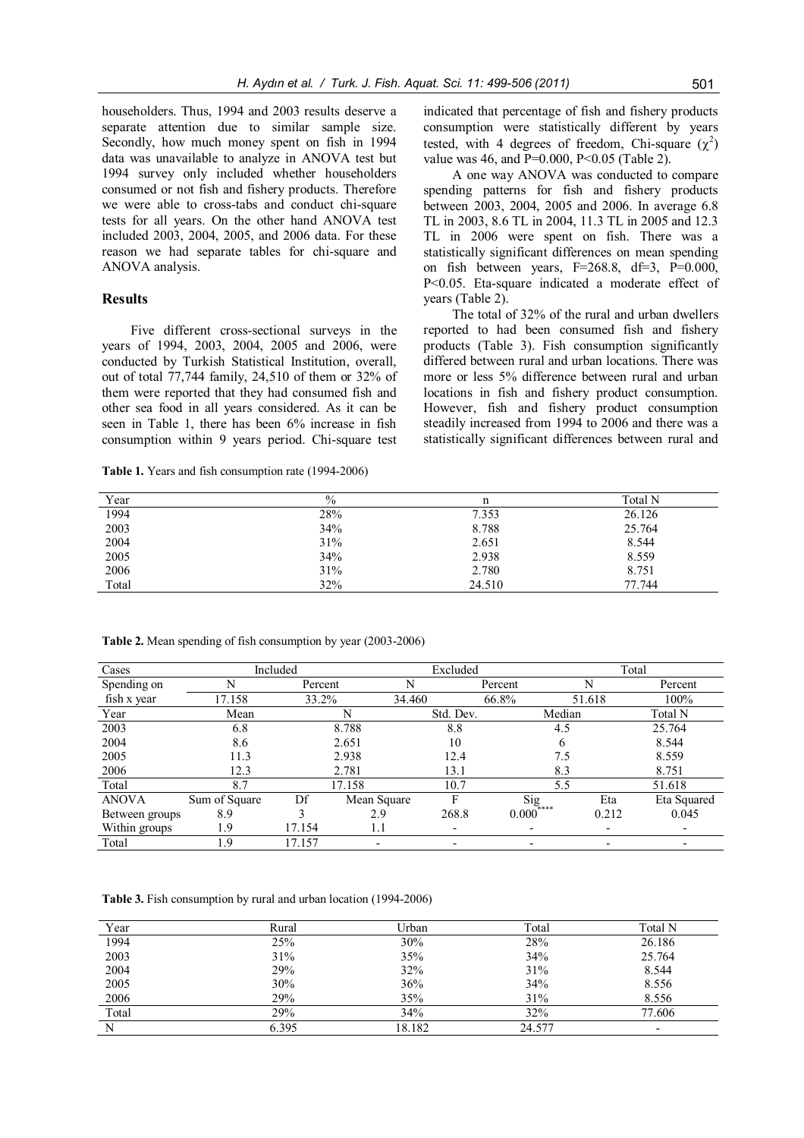householders. Thus, 1994 and 2003 results deserve a separate attention due to similar sample size. Secondly, how much money spent on fish in 1994 data was unavailable to analyze in ANOVA test but 1994 survey only included whether householders consumed or not fish and fishery products. Therefore we were able to cross-tabs and conduct chi-square tests for all years. On the other hand ANOVA test included 2003, 2004, 2005, and 2006 data. For these reason we had separate tables for chi-square and ANOVA analysis.

#### **Results**

Five different cross-sectional surveys in the years of 1994, 2003, 2004, 2005 and 2006, were conducted by Turkish Statistical Institution, overall, out of total 77,744 family, 24,510 of them or 32% of them were reported that they had consumed fish and other sea food in all years considered. As it can be seen in Table 1, there has been 6% increase in fish consumption within 9 years period. Chi-square test

**Table 1.** Years and fish consumption rate (1994-2006)

indicated that percentage of fish and fishery products consumption were statistically different by years tested, with 4 degrees of freedom, Chi-square  $(\chi^2)$ value was 46, and  $P=0.000$ ,  $P<0.05$  (Table 2).

A one way ANOVA was conducted to compare spending patterns for fish and fishery products between 2003, 2004, 2005 and 2006. In average 6.8 TL in 2003, 8.6 TL in 2004, 11.3 TL in 2005 and 12.3 TL in 2006 were spent on fish. There was a statistically significant differences on mean spending on fish between years,  $F=268.8$ ,  $df=3$ ,  $P=0.000$ , P<0.05. Eta-square indicated a moderate effect of years (Table 2).

The total of 32% of the rural and urban dwellers reported to had been consumed fish and fishery products (Table 3). Fish consumption significantly differed between rural and urban locations. There was more or less 5% difference between rural and urban locations in fish and fishery product consumption. However, fish and fishery product consumption steadily increased from 1994 to 2006 and there was a statistically significant differences between rural and

| Year  | $\%$ | n      | Total N |
|-------|------|--------|---------|
| 1994  | 28%  | 7.353  | 26.126  |
| 2003  | 34%  | 8.788  | 25.764  |
| 2004  | 31%  | 2.651  | 8.544   |
| 2005  | 34%  | 2.938  | 8.559   |
| 2006  | 31%  | 2.780  | 8.751   |
| Total | 32%  | 24.510 | 77.744  |

Cases Included Excluded Total Spending on fish x year N Percent N Percent N Percent N Percent 17.158 33.2% 34.460 66.8% 51.618 100% Year Mean N N Std. Dev. Median Total N 2003 6.8 6.8 8.788 8.8 4.5 25.764 2004 8.6 2.651 10 6 8.544 2005 11.3 2.938 12.4 7.5 8.559 2006 12.3 2.781 13.1 8.3 8.751 Total 8.7 17.158 10.7 5.5 51.618 ANOVA Sum of Square Df Mean Square F Sig Eta Eta Squared<br>Between groups 8.9 3 2.9 268.8 0.000<sup>\*\*\*\*</sup> 0.212 0.045 Between groups 8.9 3 2.9 268.8 0.000<sup>\*\*\*\*</sup> 0.212 0.045 Within groups 1.9 17.154 1.1 -Total 1.9 17.157 - - - - - - - -

**Table 2.** Mean spending of fish consumption by year (2003-2006)

**Table 3.** Fish consumption by rural and urban location (1994-2006)

| Year  | Rural | Urban  | Total  | Total N                  |
|-------|-------|--------|--------|--------------------------|
| 1994  | 25%   | 30%    | 28%    | 26.186                   |
| 2003  | 31%   | 35%    | 34%    | 25.764                   |
| 2004  | 29%   | 32%    | 31%    | 8.544                    |
| 2005  | 30%   | 36%    | 34%    | 8.556                    |
| 2006  | 29%   | 35%    | 31%    | 8.556                    |
| Total | 29%   | 34%    | 32%    | 77.606                   |
|       | 6.395 | 18.182 | 24.577 | $\overline{\phantom{0}}$ |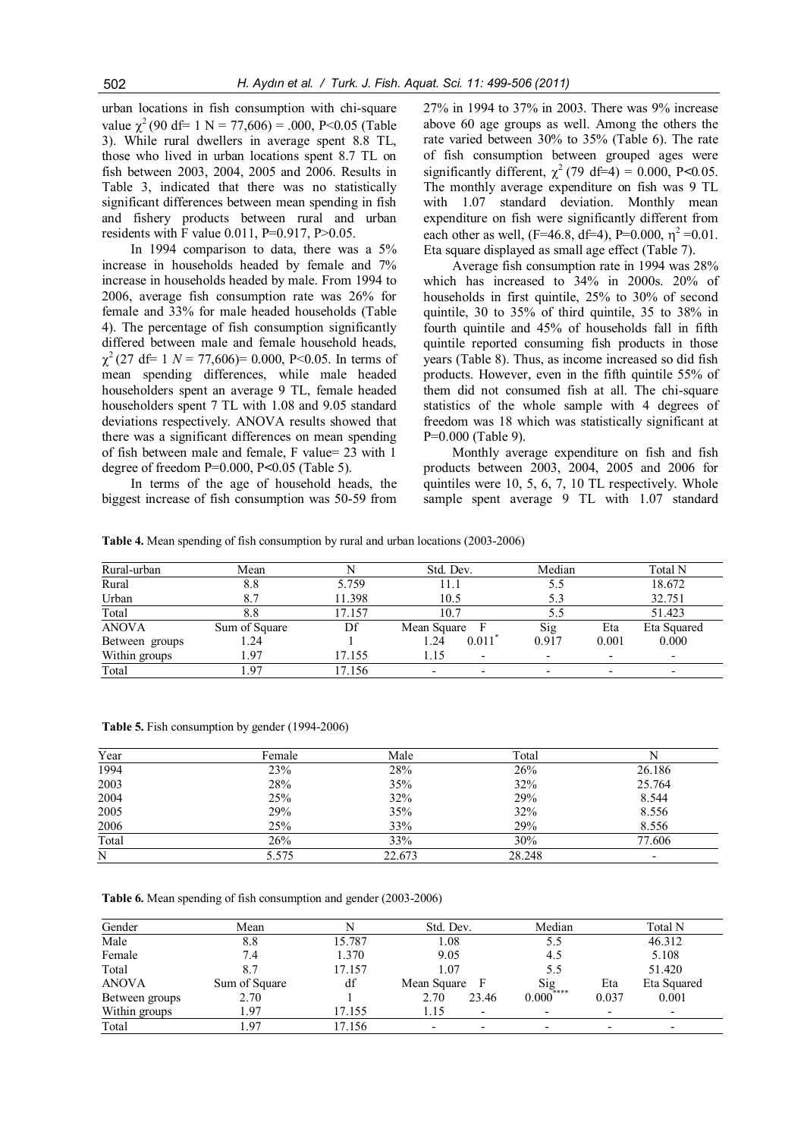urban locations in fish consumption with chi-square value  $\chi^2$  (90 df= 1 N = 77,606) = .000, P<0.05 (Table 3). While rural dwellers in average spent 8.8 TL, those who lived in urban locations spent 8.7 TL on fish between 2003, 2004, 2005 and 2006. Results in Table 3, indicated that there was no statistically significant differences between mean spending in fish and fishery products between rural and urban residents with F value 0.011, P=0.917, P>0.05.

In 1994 comparison to data, there was a 5% increase in households headed by female and 7% increase in households headed by male. From 1994 to 2006, average fish consumption rate was 26% for female and 33% for male headed households (Table 4). The percentage of fish consumption significantly differed between male and female household heads,  $\chi^2$  (27 df= 1 *N* = 77,606)= 0.000, P<0.05. In terms of mean spending differences, while male headed householders spent an average 9 TL, female headed householders spent 7 TL with 1.08 and 9.05 standard deviations respectively. ANOVA results showed that there was a significant differences on mean spending of fish between male and female, F value= 23 with 1 degree of freedom P=0.000, P*<*0.05 (Table 5).

In terms of the age of household heads, the biggest increase of fish consumption was 50-59 from 27% in 1994 to 37% in 2003. There was 9% increase above 60 age groups as well. Among the others the rate varied between 30% to 35% (Table 6). The rate of fish consumption between grouped ages were significantly different,  $\chi^2$  (79 df=4) = 0.000, P<0.05. The monthly average expenditure on fish was 9 TL with 1.07 standard deviation. Monthly mean expenditure on fish were significantly different from each other as well, (F=46.8, df=4), P=0.000,  $\eta^2$  =0.01. Eta square displayed as small age effect (Table 7).

Average fish consumption rate in 1994 was 28% which has increased to 34% in 2000s. 20% of households in first quintile, 25% to 30% of second quintile, 30 to 35% of third quintile, 35 to 38% in fourth quintile and 45% of households fall in fifth quintile reported consuming fish products in those years (Table 8). Thus, as income increased so did fish products. However, even in the fifth quintile 55% of them did not consumed fish at all. The chi-square statistics of the whole sample with 4 degrees of freedom was 18 which was statistically significant at P=0.000 (Table 9).

Monthly average expenditure on fish and fish products between 2003, 2004, 2005 and 2006 for quintiles were 10, 5, 6, 7, 10 TL respectively. Whole sample spent average 9 TL with 1.07 standard

**Table 4.** Mean spending of fish consumption by rural and urban locations (2003-2006)

| Rural-urban    | Mean          |        | Std. Dev.     | Median |       | Total N     |
|----------------|---------------|--------|---------------|--------|-------|-------------|
| Rural          | 8.8           | 5.759  | 11.1          | 5.5    |       | 18.672      |
| Urban          | 8.7           | 11.398 | 10.5          |        |       | 32.751      |
| Total          | 8.8           | 17.157 | 10.7          |        |       | 51.423      |
| <b>ANOVA</b>   | Sum of Square | Df     | Mean Square   | Sig    | Eta   | Eta Squared |
| Between groups | 1.24          |        | 0.011<br>1.24 | 0.917  | 0.001 | 0.000       |
| Within groups  | l.97          | 17.155 | 1.15          |        |       |             |
| Total          | .97           | 7.156  |               |        |       |             |

**Table 5.** Fish consumption by gender (1994-2006)

| Year  | Female | Male   | Total  |        |
|-------|--------|--------|--------|--------|
| 1994  | 23%    | 28%    | 26%    | 26.186 |
| 2003  | 28%    | 35%    | 32%    | 25.764 |
| 2004  | 25%    | 32%    | 29%    | 8.544  |
| 2005  | 29%    | 35%    | 32%    | 8.556  |
| 2006  | 25%    | 33%    | 29%    | 8.556  |
| Total | 26%    | 33%    | 30%    | 77.606 |
| N     | 5.575  | 22.673 | 28.248 | -      |
|       |        |        |        |        |

**Table 6.** Mean spending of fish consumption and gender (2003-2006)

| Gender         | Mean          |        | Std. Dev.                | Median                              |       | Total N                  |
|----------------|---------------|--------|--------------------------|-------------------------------------|-------|--------------------------|
| Male           | 8.8           | 15.787 | l.08                     | 5.5                                 |       | 46.312                   |
| Female         | 7.4           | 1.370  | 9.05                     | 4.5                                 |       | 5.108                    |
| Total          |               | 17.157 | 1.07                     | 5.5                                 |       | 51.420                   |
| <b>ANOVA</b>   | Sum of Square | df     | Mean Square<br>- F       |                                     | Eta   | Eta Squared              |
| Between groups | 2.70          |        | 2.70<br>23.46            | $\operatorname*{Sig}_{0.000^{***}}$ | 0.037 | 0.001                    |
| Within groups  | .97           | 17.155 | 1.15                     | $\overline{\phantom{0}}$            |       | $\overline{\phantom{0}}$ |
| Total          | 97 ،          | 17.156 | $\overline{\phantom{0}}$ | $\overline{\phantom{0}}$            |       | $\overline{\phantom{0}}$ |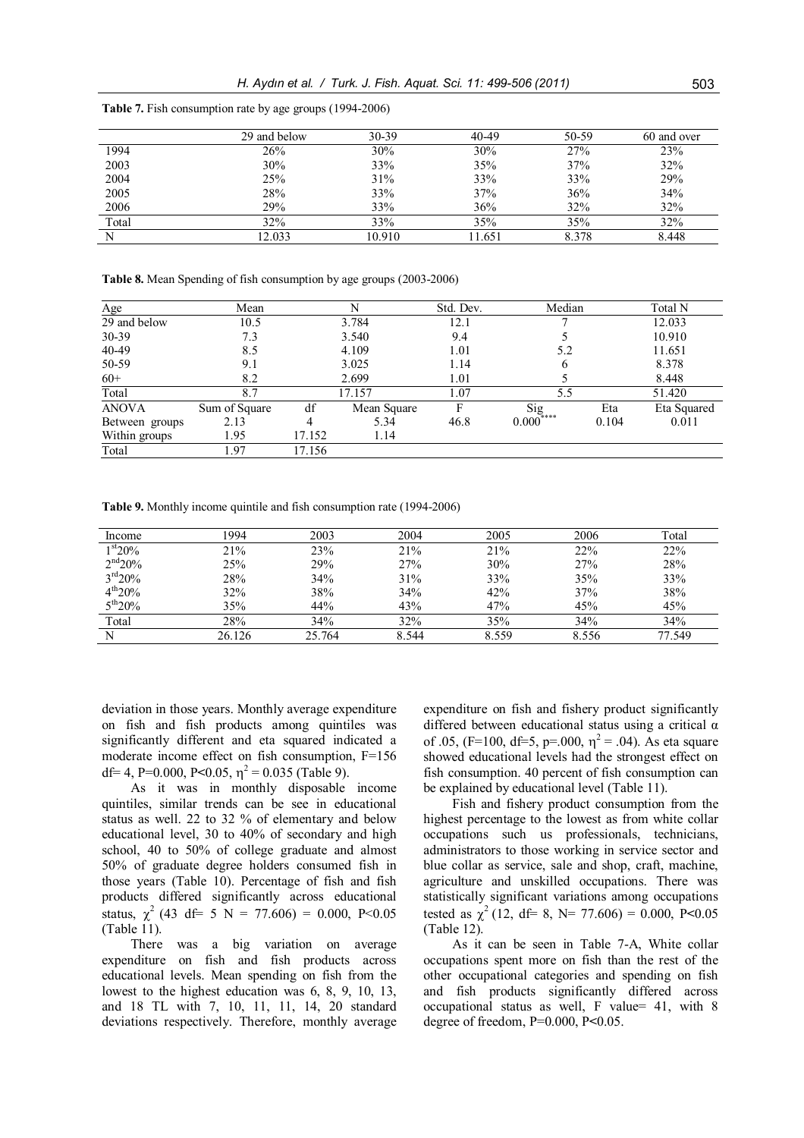|       | 29 and below | 30-39  | 40-49  | 50-59 | 60 and over |
|-------|--------------|--------|--------|-------|-------------|
| 1994  | 26%          | 30%    | 30%    | 27%   | 23%         |
| 2003  | 30%          | 33%    | 35%    | 37%   | 32%         |
| 2004  | 25%          | 31%    | 33%    | 33%   | 29%         |
| 2005  | 28%          | 33%    | 37%    | 36%   | 34%         |
| 2006  | 29%          | 33%    | 36%    | 32%   | 32%         |
| Total | 32%          | 33%    | 35%    | 35%   | 32%         |
|       | 2.033        | 10.910 | 11.651 | 8.378 | 8.448       |

**Table 7.** Fish consumption rate by age groups (1994-2006)

**Table 8.** Mean Spending of fish consumption by age groups (2003-2006)

| Age            | Mean          |        | N           | Std. Dev. | Median                         |       | Total N     |
|----------------|---------------|--------|-------------|-----------|--------------------------------|-------|-------------|
| 29 and below   | 10.5          |        | 3.784       | 12.1      |                                |       | 12.033      |
| 30-39          | 7.3           |        | 3.540       | 9.4       |                                |       | 10.910      |
| 40-49          | 8.5           |        | 4.109       | 1.01      | 5.2                            |       | 11.651      |
| 50-59          | 9.1           |        | 3.025       | 1.14      | 6                              |       | 8.378       |
| $60+$          | 8.2           |        | 2.699       | 1.01      |                                |       | 8.448       |
| Total          | 8.7           |        | 17.157      | 1.07      | 5.5                            |       | 51.420      |
| <b>ANOVA</b>   | Sum of Square | df     | Mean Square |           | $\operatorname{Sig}_{0^{***}}$ | Eta   | Eta Squared |
| Between groups | 2.13          | 4      | 5.34        | 46.8      | $0.000^{\circ}$                | 0.104 | 0.011       |
| Within groups  | 1.95          | 17.152 | 1.14        |           |                                |       |             |
| Total          | 1.97          | 17.156 |             |           |                                |       |             |

**Table 9.** Monthly income quintile and fish consumption rate (1994-2006)

| Income            | 1994   | 2003   | 2004  | 2005  | 2006  | Total  |
|-------------------|--------|--------|-------|-------|-------|--------|
| $1st20\%$         | 21%    | 23%    | 21%   | 21%   | 22%   | 22%    |
| $2^{nd}20%$       | 25%    | 29%    | 27%   | 30%   | 27%   | 28%    |
| $3^{\rm rd} 20\%$ | 28%    | 34%    | 31%   | 33%   | 35%   | 33%    |
| $4^{th}20%$       | 32%    | 38%    | 34%   | 42%   | 37%   | 38%    |
| $5^{th}20%$       | 35%    | 44%    | 43%   | 47%   | 45%   | 45%    |
| Total             | 28%    | 34%    | 32%   | 35%   | 34%   | 34%    |
| N                 | 26.126 | 25.764 | 8.544 | 8.559 | 8.556 | 77.549 |

deviation in those years. Monthly average expenditure on fish and fish products among quintiles was significantly different and eta squared indicated a moderate income effect on fish consumption, F=156 df = 4, P = 0.000, P < 0.05,  $\eta^2$  = 0.035 (Table 9).

As it was in monthly disposable income quintiles, similar trends can be see in educational status as well. 22 to 32 % of elementary and below educational level, 30 to 40% of secondary and high school, 40 to 50% of college graduate and almost 50% of graduate degree holders consumed fish in those years (Table 10). Percentage of fish and fish products differed significantly across educational status,  $\chi^2$  (43 df= 5 N = 77.606) = 0.000, P<0.05 (Table 11).

There was a big variation on average expenditure on fish and fish products across educational levels. Mean spending on fish from the lowest to the highest education was 6, 8, 9, 10, 13, and 18 TL with 7, 10, 11, 11, 14, 20 standard deviations respectively. Therefore, monthly average expenditure on fish and fishery product significantly differed between educational status using a critical α of .05, (F=100, df=5, p=.000,  $\eta^2$  = .04). As eta square showed educational levels had the strongest effect on fish consumption. 40 percent of fish consumption can be explained by educational level (Table 11).

Fish and fishery product consumption from the highest percentage to the lowest as from white collar occupations such us professionals, technicians, administrators to those working in service sector and blue collar as service, sale and shop, craft, machine, agriculture and unskilled occupations. There was statistically significant variations among occupations tested as  $\chi^2$  (12, df= 8, N= 77.606) = 0.000, P<0.05 (Table 12).

As it can be seen in Table 7-A, White collar occupations spent more on fish than the rest of the other occupational categories and spending on fish and fish products significantly differed across occupational status as well, F value= 41, with 8 degree of freedom, P=0.000, P**<**0.05.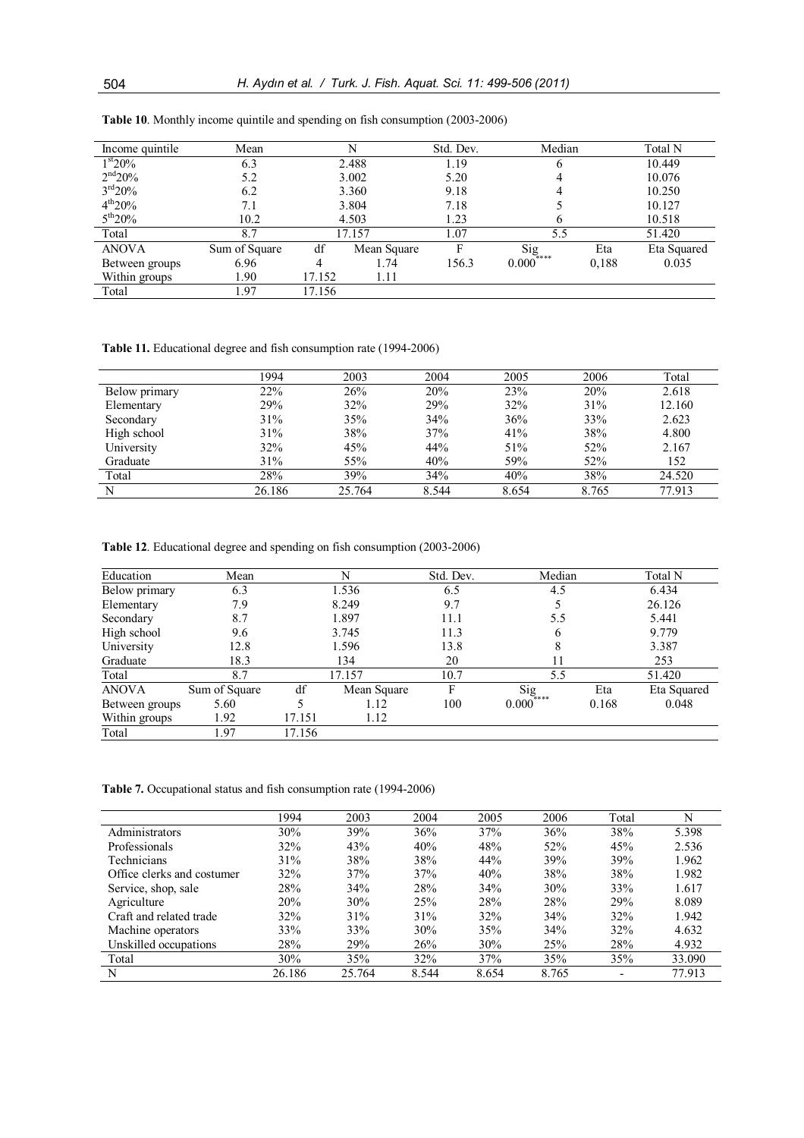| Income quintile     | Mean          |        |             | Std. Dev. | Median                              |       | Total N     |
|---------------------|---------------|--------|-------------|-----------|-------------------------------------|-------|-------------|
| 1 <sup>st</sup> 20% | 6.3           |        | 2.488       | 1.19      | b                                   |       |             |
| $2^{nd}20%$         | 5.2           |        | 3.002       | 5.20      |                                     |       | 10.076      |
| $3^{\rm rd} 20\%$   | 6.2           |        | 3.360       | 9.18      |                                     |       | 10.250      |
| $4^{th}20%$         | 7.1           |        | 3.804       | 7.18      |                                     |       | 10.127      |
| $5^{th}20\%$        | 10.2          |        | 4.503       | 1.23      | <sub>0</sub>                        |       | 10.518      |
| Total               | 8.7           |        | 17.157      | 1.07      | 5.5                                 |       | 51.420      |
| <b>ANOVA</b>        | Sum of Square | df     | Mean Square | F         | $\operatorname{Sig}_{\alpha^{***}}$ | Eta   | Eta Squared |
| Between groups      | 6.96          |        | 1.74        | 156.3     | $0.000^{\circ}$                     | 0.188 | 0.035       |
| Within groups       | 1.90          | 17.152 | 1.11        |           |                                     |       |             |
| Total               | l.97          | 17.156 |             |           |                                     |       |             |

**Table 10**. Monthly income quintile and spending on fish consumption (2003-2006)

**Table 11.** Educational degree and fish consumption rate (1994-2006)

|               | 1994   | 2003   | 2004  | 2005  | 2006  | Total  |
|---------------|--------|--------|-------|-------|-------|--------|
| Below primary | 22%    | 26%    | 20%   | 23%   | 20%   | 2.618  |
| Elementary    | 29%    | 32%    | 29%   | 32%   | 31%   | 12.160 |
| Secondary     | 31%    | 35%    | 34%   | 36%   | 33%   | 2.623  |
| High school   | 31%    | 38%    | 37%   | 41%   | 38%   | 4.800  |
| University    | 32%    | 45%    | 44%   | 51%   | 52%   | 2.167  |
| Graduate      | 31%    | 55%    | 40%   | 59%   | 52%   | 152    |
| Total         | 28%    | 39%    | 34%   | 40%   | 38%   | 24.520 |
| N             | 26.186 | 25.764 | 8.544 | 8.654 | 8.765 | 77.913 |

**Table 12**. Educational degree and spending on fish consumption (2003-2006)

| Education      | Mean          |        | N           | Std. Dev. | Median                              |       | Total N     |
|----------------|---------------|--------|-------------|-----------|-------------------------------------|-------|-------------|
| Below primary  | 6.3           |        | 1.536       | 6.5       | 4.5                                 |       | 6.434       |
| Elementary     | 7.9           |        | 8.249       | 9.7       |                                     |       | 26.126      |
| Secondary      | 8.7           |        | 1.897       | 11.1      | 5.5                                 |       | 5.441       |
| High school    | 9.6           |        | 3.745       | 11.3      | h                                   |       | 9.779       |
| University     | 12.8          |        | 1.596       | 13.8      |                                     |       | 3.387       |
| Graduate       | 18.3          |        | 134         | 20        | 11                                  |       | 253         |
| Total          | 8.7           |        | 17.157      | 10.7      | 5.5                                 |       | 51.420      |
| <b>ANOVA</b>   | Sum of Square | df     | Mean Square | F         | $\operatorname{Sig}_{\alpha^{***}}$ | Eta   | Eta Squared |
| Between groups | 5.60          |        | 1.12        | 100       | $0.000^{\circ}$                     | 0.168 | 0.048       |
| Within groups  | 1.92          | 17.151 | 1.12        |           |                                     |       |             |
| Total          | 1.97          | 17.156 |             |           |                                     |       |             |

**Table 7.** Occupational status and fish consumption rate (1994-2006)

|                            | 1994   | 2003   | 2004  | 2005  | 2006  | Total |        |
|----------------------------|--------|--------|-------|-------|-------|-------|--------|
| Administrators             | 30%    | 39%    | 36%   | 37%   | 36%   | 38%   | 5.398  |
| Professionals              | 32%    | 43%    | 40%   | 48%   | 52%   | 45%   | 2.536  |
| <b>Technicians</b>         | 31%    | 38%    | 38%   | 44%   | 39%   | 39%   | 1.962  |
| Office clerks and costumer | 32%    | 37%    | 37%   | 40%   | 38%   | 38%   | 1.982  |
| Service, shop, sale        | 28%    | 34%    | 28%   | 34%   | 30%   | 33%   | 1.617  |
| Agriculture                | 20%    | 30%    | 25%   | 28%   | 28%   | 29%   | 8.089  |
| Craft and related trade    | 32%    | 31%    | 31%   | 32%   | 34%   | 32%   | 1.942  |
| Machine operators          | 33%    | 33%    | 30%   | 35%   | 34%   | 32%   | 4.632  |
| Unskilled occupations      | 28%    | 29%    | 26%   | 30%   | 25%   | 28%   | 4.932  |
| Total                      | 30%    | 35%    | 32%   | 37%   | 35%   | 35%   | 33.090 |
| N                          | 26.186 | 25.764 | 8.544 | 8.654 | 8.765 |       | 77.913 |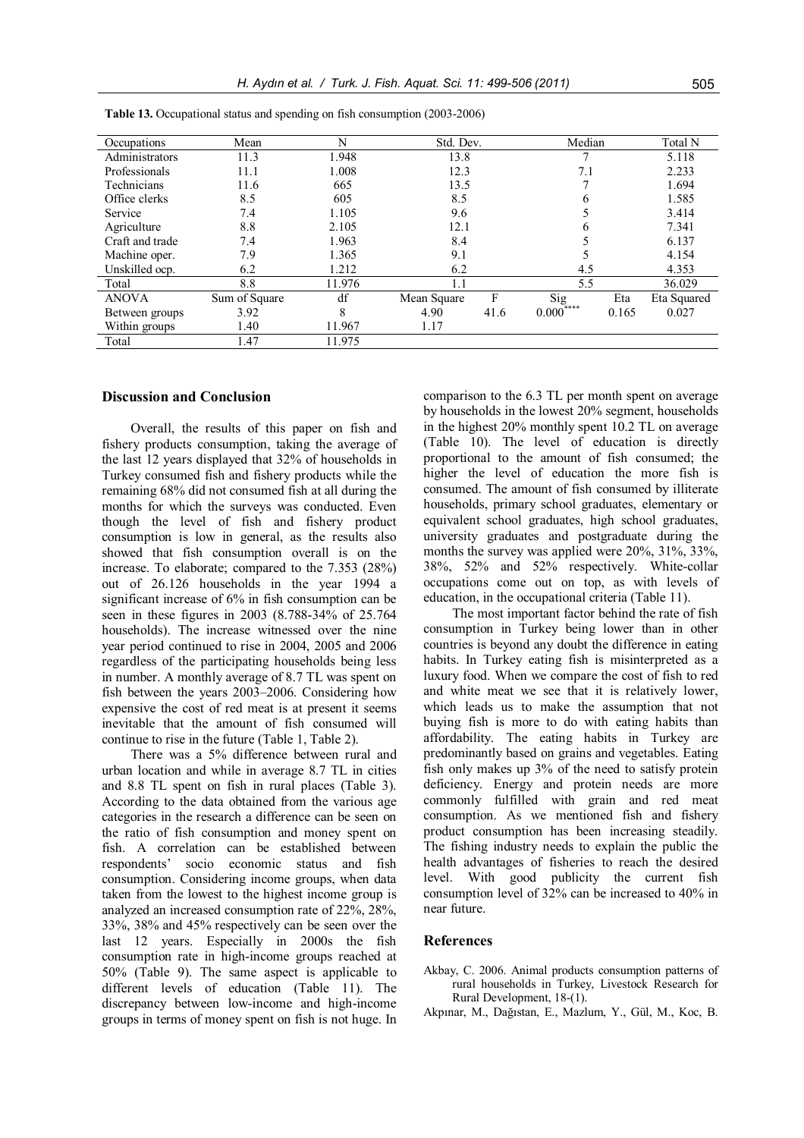| Occupations     | Mean          | N      | Std. Dev.   |      | Median                                 |       | Total N     |
|-----------------|---------------|--------|-------------|------|----------------------------------------|-------|-------------|
| Administrators  | 11.3          | 1.948  | 13.8        |      |                                        |       | 5.118       |
| Professionals   | 11.1          | 1.008  | 12.3        |      | 7.1                                    |       | 2.233       |
| Technicians     | 11.6          | 665    | 13.5        |      |                                        |       | 1.694       |
| Office clerks   | 8.5           | 605    | 8.5         |      | 6                                      |       | 1.585       |
| Service         | 7.4           | 1.105  | 9.6         |      |                                        |       | 3.414       |
| Agriculture     | 8.8           | 2.105  | 12.1        |      |                                        |       | 7.341       |
| Craft and trade | 7.4           | 1.963  | 8.4         |      |                                        |       | 6.137       |
| Machine oper.   | 7.9           | 1.365  | 9.1         |      |                                        |       | 4.154       |
| Unskilled ocp.  | 6.2           | 1.212  | 6.2         |      | 4.5                                    |       | 4.353       |
| Total           | 8.8           | 11.976 | 1.1         |      | 5.5                                    |       | 36.029      |
| <b>ANOVA</b>    | Sum of Square | df     | Mean Square | F    | $\overline{\text{Sig}}_{\gamma^{***}}$ | Eta   | Eta Squared |
| Between groups  | 3.92          | 8      | 4.90        | 41.6 | 0.000                                  | 0.165 | 0.027       |
| Within groups   | 1.40          | 11.967 | 1.17        |      |                                        |       |             |
| Total           | 1.47          | 11.975 |             |      |                                        |       |             |

**Table 13.** Occupational status and spending on fish consumption (2003-2006)

## **Discussion and Conclusion**

Overall, the results of this paper on fish and fishery products consumption, taking the average of the last 12 years displayed that 32% of households in Turkey consumed fish and fishery products while the remaining 68% did not consumed fish at all during the months for which the surveys was conducted. Even though the level of fish and fishery product consumption is low in general, as the results also showed that fish consumption overall is on the increase. To elaborate; compared to the 7.353 (28%) out of 26.126 households in the year 1994 a significant increase of 6% in fish consumption can be seen in these figures in 2003 (8.788-34% of 25.764 households). The increase witnessed over the nine year period continued to rise in 2004, 2005 and 2006 regardless of the participating households being less in number. A monthly average of 8.7 TL was spent on fish between the years 2003–2006. Considering how expensive the cost of red meat is at present it seems inevitable that the amount of fish consumed will continue to rise in the future (Table 1, Table 2).

There was a 5% difference between rural and urban location and while in average 8.7 TL in cities and 8.8 TL spent on fish in rural places (Table 3). According to the data obtained from the various age categories in the research a difference can be seen on the ratio of fish consumption and money spent on fish. A correlation can be established between respondents' socio economic status and fish consumption. Considering income groups, when data taken from the lowest to the highest income group is analyzed an increased consumption rate of 22%, 28%, 33%, 38% and 45% respectively can be seen over the last 12 years. Especially in 2000s the fish consumption rate in high-income groups reached at 50% (Table 9). The same aspect is applicable to different levels of education (Table 11). The discrepancy between low-income and high-income groups in terms of money spent on fish is not huge. In

comparison to the 6.3 TL per month spent on average by households in the lowest 20% segment, households in the highest 20% monthly spent 10.2 TL on average (Table 10). The level of education is directly proportional to the amount of fish consumed; the higher the level of education the more fish is consumed. The amount of fish consumed by illiterate households, primary school graduates, elementary or equivalent school graduates, high school graduates, university graduates and postgraduate during the months the survey was applied were 20%, 31%, 33%, 38%, 52% and 52% respectively. White-collar occupations come out on top, as with levels of education, in the occupational criteria (Table 11).

The most important factor behind the rate of fish consumption in Turkey being lower than in other countries is beyond any doubt the difference in eating habits. In Turkey eating fish is misinterpreted as a luxury food. When we compare the cost of fish to red and white meat we see that it is relatively lower, which leads us to make the assumption that not buying fish is more to do with eating habits than affordability. The eating habits in Turkey are predominantly based on grains and vegetables. Eating fish only makes up 3% of the need to satisfy protein deficiency. Energy and protein needs are more commonly fulfilled with grain and red meat consumption. As we mentioned fish and fishery product consumption has been increasing steadily. The fishing industry needs to explain the public the health advantages of fisheries to reach the desired level. With good publicity the current fish consumption level of 32% can be increased to 40% in near future.

# **References**

- Akbay, C. 2006. Animal products consumption patterns of rural households in Turkey, Livestock Research for Rural Development, 18-(1).
- Akpınar, M., Dağıstan, E., Mazlum, Y., Gül, M., Koc, B.